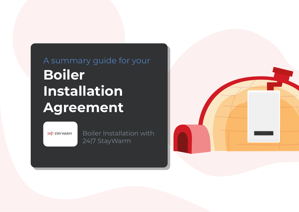# A summary guide for your **Boiler Installation Agreement**

24 7 STAY WARM

Boiler Installation with 24|7 StayWarm

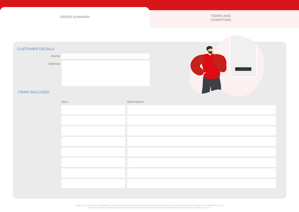ORDER SUMMARY TERMS AND ORDER SUMMARY

CONDTIONS

# CUSTOMER DETAILS

Name Address





# ITEMS INCLUDED

| Item | Description |
|------|-------------|
|      |             |
|      |             |
|      |             |
|      |             |
|      |             |
|      |             |
|      |             |
|      |             |

StayWarm is a trading style of 247StayWarm Limited which is authorised and regulated by the Financial Conduct Authority for consumer credit under the Financial Services Register No: 916367<br>Registered in England & Wales (Re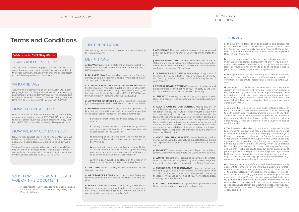#### CONDTIONS CONDTIONS TERMS AND

# **Terms and Conditions**

#### **Welcome to 24|7 StayWarm**

#### TERMS AND CONDITIONS

The Customer who has engaged 247 STAYWARM Ltd to co-ordinate and carry out Installation work specified in the order summary provided with these terms is subject to the following terms and conditions.

#### WHO ARF WF?

'StayWarm' a trading style of 247 StayWarm Ltd, a company registered in England and Wales. Our company registration number is 11387607 and our registered office is Parkhill Business Centre, Padiham Road, Padiham, BB12 6TG. Our registered VAT number is 223 0993 22.

## HOW TO CONTACT US?

How to contact us. You can contact us by telephoning our customer service team at 0333 358 0075 or by writing to us at Parkhill Business Centre, Padiham Road, Padiham, BB12 6TG, or email enquiries@247staywarm.co.uk

#### HOW WE MAY CONTACT YOU?

How we may contact you. If we have to contact you, we will do so by telephone or by writing to you at the email address or postal address you provided to us in your Order.

"Writing" includes emails. When we use the words "writing" or "written" in these terms, this includes emails. If you wish to change/restrict the way in which we make contact, please contact us on 0333 358 0075.

# DON'T FORGET TO SIGN THE LAST PAGE OF THIS DOCUMENT

Please read through these terms and conditions as it includes important information regarding your Boiler Installation.

# 1. INTERPRETATION

The following definitions and rules of interpretation apply to this agreement:

#### DEFINITIONS

**a. StayWarm:** is a Trading Style of 247 StayWarm Ltd. Reference to StayWarm in this document refers equally to 247 StayWarm Ltd.

**b. BUSINESS DAY** Means a day other than a Saturday, Sunday or public holiday in England when banks in London are open for business.

**c. CONSTRUCTION PRODUCTS REGULATIONS** Means the Construction Products Regulations 2013 (SI 2013/1387), the Construction Products Regulation (305/2011/EU), the Construction Products Regulations 1991 (SI 1991/1620) and the Construction Products Directive (89/109/EC).

**d. APPROVED ENGINEER** Means a qualified engineer (gas Safe registered) who we instruct to install the Boiler.

**e. HARMFUL** Means materials, equipment, products or kits that are generally accepted, or generally suspected, in the construction industry at the relevant time as:

**i.** posing a threat to the health and safety of any person; or

**ii.** posing a threat to the structural stability, performance or physical integrity of the Works or any part or component of the Works; or

**iii.** reducing, or possibly reducing, the normal life expectancy of the Works or any part or component of the Works; or

**iv.** not being in accordance with any relevant British Standard, relevant code of practice, good building practice or any applicable agreement certificate issued by the British Board of Agreement; or

**v.** having been supplied or placed on the market in breach of the Construction Products Regulations.

**f. DUE DATE** Means the day of the completion of the Works in question.

**g. ORDER/ORDER FORM** Your order for the Boiler and Services, setting out the cost of the Boiler and the Services.

**h. BOILER** The Boiler stated in your Order (or a substitute Boiler of similar specification) together with its connection to your Central Heating System (which shall mean all parts of such system other than the Boiler).

**i. ASSISTANCE** The reasonable assistance of an Approved Engineer during attendance at your Property to install the Boiler.

**j. INSTALLATION DATE** The date confirmed by us for installation of a Boiler following a satisfactory Survey and the terms "Installation" and "Install" shall mean the actual completion of the process of installation.

**k. COMMENCEMENT DATE** Within 14 days of signature of the Order by you and, further, confirmation of the Installation Date by us after completion of a satisfactory Survey of your Property.

**l. CENTRAL HEATING SYSTEM** The system of radiators and pipes and flues for the heating of your Property by the Boiler that you have in situ at the time of the Survey.

**m. SURVEY** The survey of your Property and your current Boiler and Central Heating System undertaken by us under Clause 2.

**n. EVENTS OUTSIDE OUR CONTROL** Means any act or event beyond our reasonable control, including without limitation strikes, lock outs or other industrial action by third parties, civil commotion, riot, invasion, terrorist attack or threat of terrorist attack, war (whether declared or not) or threat or preparation for war, fire, explosion, storm, flood, earthquake, subsidence, epidemic or other natural disaster, or failure of public or private telecommunications networks or impossibility of the use of railways, shipping, aircraft, motor transport or other means of public or private transport; ill health; etc

**o. GOOD INDUSTRY PRACTICE** Means levels of performance which would reasonably be expected from a skilled and experienced provider of services of the same or similar nature.

**p. PROPERTY** Means the property which you own solely or jointly with someone else where the Works shall take place.

**q. WORKS** Means the work required to complete the installation on behalf of 247 StayWarm by an Approved Engineer for you at the Property, as detailed in the Order Summary.

**r. AUTHORISED REPRESENTATIVE** means a person authorised by you to be present during the installation and/ or to discuss your account or report any issues in relation to the Boiler. We must be notified of your nominated person in writing prior to installation.

**s. SATISFACTION NOTE** is an agreement signed when the Boiler installation is complete and satisfactory.

#### 2. SURVEY

**a.** The supply of a Boiler shall be subject to, and conditional upon, the conduct and consideration by us of a pre-Installation Survey of your Property and your Central Heating System, to determine whether it is feasible for us to supply the Boiler at your Property.

**b.** If, in consequence of the Survey, it becomes apparent to us, in our unfettered professional judgment, that it would be unsafe or otherwise not feasible for us to supply and Install the Boiler or would be uneconomic to do so at the price stated in your Order, then we may cancel the agreement.

**c.** This agreement shall be read subject to any reservations, pre-conditions, qualifications, or limitations expressed, or conditions precedent, to Installation or, stipulated in the Sur- $\sqrt{\mathsf{a}}$ 

**d.** We may, in such Survey, in exceptional circumstances specify any pre-agreement remedial work which needs to be undertaken by you (or contractors appointed by you prior to Installation), and, propose and agree an alternative Installation Date, subject to your written confirmation that such remedial work has been undertaken, before entering into an agreement with you.

**e.** You shall be free to cancel your Order at that juncture, or have such remedial work undertaken (and confirm in writing to us that such work has been undertaken) or, in the further alternative, instruct our Approved Engineers, to undertake the work specified in the Survey, on the condition that you agree to pay us the costs stated in the Survey of remedial work identified.

**f.** The Survey is undertaken by us without charge, and is solely intended for our own business purposes, and to enable us to determine whether we are able to supply the Boiler at your Property. You may not rely upon the Survey for any purpose other than in relation to the supply of the Boiler under this agreement, or by any third party for any purpose whatsoever. For the avoidance of doubt, the Survey which we undertake is not a chartered surveyor's or structural engineer's survey, and we shall not be obliged to carry out either such survey of your Property (or those parts of it that are potentially affected by the process of Installation) or inspect aspects of your Property that are not immediately apparent to the naked eye (e.g. concealed pipework etc.) prior to Installation.

**g.** Unless any structural defect should have been reasonably apparent to someone of the Approved Engineer's professional expertise and skill, upon reasonable visual inspection of the areas potentially affected by the process of Installation, neither we nor they guarantee, warrant or provide any assurance that your Property is free from such defects prior to, or during the process of, Installation, and we shall not be responsible for damage which occurs, or is caused, as a direct consequence of such pre-existing defects other than any damage caused by a breach of the Approved Engineer's duty of care and skill.

StayWarm is a trading style of 247StayWarm Limited which is authorised and regulated by the Financial Conduct Authority for consumer credit under the Financial Services Register No: 916367 Registered in England & Wales (Registered No 11387607)Registered office: Parkhill Business Centre, Padiham Road, Burnley, BB12 6TG | 247staywarm.co.uk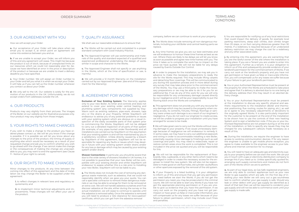#### CONDTIONS CONDTIONS TERMS AND

# 3. OUR AGREEMENT WITH YOU

How we will accept your Order:

**a.** Our acceptance of your Order will take place when we email you to accept it, at which point an agreement will come into existence between you and us.

**b.** If we are unable to accept your Order, we will inform you of this and any agreement will cease. This might be because the product is out of stock, because of unexpected limits on our resources which we could not reasonably plan for, because we have identified an error in the price or description of the product or because we are unable to meet a delivery deadline you have specified.

**c.** Your Order number. We will assign an Order number to your Order and tell you what it is when we accept your Order. It will help us if you can tell us the Order number whenever you contact us about your Order.

**d.** We only sell to the UK. Our website is solely for the promotion of our products in the UK. Unfortunately, we do not accept orders from addresses outside the UK.

#### 4. OUR PRODUCTS

Products may vary slightly from their pictures. The images of the Boiler on our website are for illustrative purposes only. Your product may vary slightly from those images.

#### 5. YOUR RIGHTS TO MAKE CHANGES

If you wish to make a change to the product you have ordered please contact us. We will let you know if the change is possible. If it is possible we will let you know about any changes to the price of the product, the timing of supply or anything else which would be necessary as a result of your requested change and ask you to confirm whether you wish to go ahead with the change. If we cannot make the change or the consequences of making the change are unacceptable to you, you may want to end the agreement (see Clause 11 - Notice of your right to cancel).

#### 6. OUR RIGHTS TO MAKE CHANGES

Minor changes to the products. At any time between the coming into effect of this agreement and the date of Installation we may change the Boiler to be supplied under this agreement:

**i.** to reflect changes in relevant laws and regulatory requirements; and

**ii.** to implement minor technical adjustments and improvements. These changes will not affect your use of the product.

# 7. QUALITY ASSURANCE

We shall use our reasonable endeavours to ensure that:

**a.** The Works will be carried out and completed to a proper standard compliant with Good Industry Practice.

**b.** The Approved Engineer will use workmanship and materials of the quality and standard expected of a qualified and experienced professional undertaking the design of works similar in scope and character to the Works.

**c.** The Approved Engineer shall not specify or use anything in the Works, which at the time of specification or use, is Harmful.

**d.** We will provide a 12 month Warranty on the Installation carried out by our Approved Engineer. (see end of this agreement for the Warranty).

# 8. AGREEMENT FOR WORKS

**Exclusion of Your Existing System:** The Warranty applies only to your new Boiler, its timer and controls and does not extend to cover your existing wider central heating and plumbing system (any components not supplied by Stay-Warm such as existing radiators, pipe-work, showers, taps etc.) or the drains at your Property. Whilst StayWarm will endeavour to advise you of any potential problems or issues with your existing system which are obvious on a visual inspection of the easily accessible parts of that system prior to commencing the Works, StayWarm will not be obliged to carry out a detailed inspection of all parts of that system (for example, of any pipes buried under floorboards) and all installations are carried out by StayWarm on the assumption that your existing system is and will be maintained by you in a satisfactory condition. Unless directly caused by a breach by StayWarm of this agreement, StayWarm will not be responsible for repairing any faults or issues which may develop in future with your existing system and/or drains and/or for any loss or damage which may be caused by your existing system and/or drains.

**Shower Connections:** In particular, you should be aware that due to the wide variety of showers installed in UK homes, it is not possible to guarantee that your new Boiler will be compatible with your existing shower and whilst StayWarm will endeavour to assess whether this is a risk prior to Installing your new Boiler, StayWarm will not be liable to you.

**a.** The Works does not include the cost of removing any dangerous waste materials, such as asbestos, that we could not reasonably identify when we gave you your quote. You can call a specialist contractor to remove these dangerous materials or we may be able to arrange for them to be removed at an extra cost. We will not handle asbestos ourselves and if we discover asbestos at the site, either during the survey or the actual installation, we will cease to continue to operate until the asbestos is removed safely. Once the asbestos is removed you will need to produce a 'site clearance for reoccupation' certificate, which you can get from the asbestos removal

company, before we can continue to work at your property.

**b.** The Works does include removing all non-dangerous materials, including your old Boiler and central heating parts we replace.

**c.** Any time frames we give you are our best estimates and we will endeavour to honour these time frames as best as we can. Where there are likely to be delays we will let you know as soon as possible and agree new time frames with you. The time it takes us to complete the work has no impact on the price we have quoted. We will not be liable for any delays caused by Events Outside Our Control.

**d.** In order to prepare for the installation, we may ask you in advance to make the necessary preparations to ready the site for the Works required. This may include lifting carpets and detaching floor coverings. This will be communicated to you during the quotation process and in more detail during any survey that may take place prior to the commencement of the Works. You may use a third party to make the necessary preparations or we may be able to do it for you for an additional fee. If we do any of this work for you we will only be responsible for any unnecessary damage caused directly by our negligence and it will be your responsibility to put the flooring back once the Works are completed.

**e.** This agreement does not provide you with any recourse for any damage which may be caused to the property when creating access, its contents, fixtures, fittings, floorings or sanitary ware unless such damage is as a result of our engineer's negligence. If you do not want our engineer to create access, we will be unable to progress your installation until you have arranged for access to be made.

**f.** We will take great care to carry out the Works without causing damage to your property. If we cause unnecessary damage because of negligence we will endeavour to remedy it. In some cases, we may have to carry out additional pipework and wiring in order to accommodate installing a new Boiler, potentially causing minor damage to finishing's such as wall coverings and paint. You may need to redecorate, repair or restore certain areas once the work is completed. This is not included in the price we quoted and you will be responsible for this.

**g.** We will not be responsible for the replacement of floorboards, tiles, cupboards, or any other items which need to be dislodged in order to create the necessary access for the engineer to install the new system. We will also not be responsible to make good on old flue holes, old cylinder vaults/floors or other apertures exposed by the removal of the old system.

**h.** If your Property is a listed building, it is your obligation to inform us of this and ensure that you get any permission you need before we start the Works. If you do not get the permission you need, you may be prosecuted in the criminal courts. We will not be able to start any Works if you have not got the appropriate planning permission or if you are unable to give us evidence that you have this permission. If we carry out work on the property and you have not got permission or have given us false or inaccurate information, you will compensate us for any losses we suffer because of your failure to obtain permission, which may include court fines and penalties.

**i.** You are responsible for notifying us of any local restrictions that could impact the delivery of goods, for example local parking restrictions, steep stair climbs, stair climbs longer than 20 steps, or on foot carrying distances greater than 30 metres. If a redelivery is required because of an undeclared delivery restriction we may charge the cost for a redelivery and any other associated costs.

**j.** By entering into this agreement, you are warranting that you are the lawful owner of the site where the installation is taking place. If you are a Tenant you are unable to enter into this agreement. Further as a tenant, it is your obligation to inform us of this and subsequently provide evidence of your landlord's permission for the commencement of Works. If we carry out work at the landlord's property and you have not got permission or have given us false or inaccurate information, you will compensate us for any losses we suffer because of your failure to get your landlord's permission.

**k.** You or your Authorised Representative must be present at the property for when the Works are scheduled to take place and agree that if a delivery is aborted due to no one being at the delivery address then this may result in an aborted delivery charge.

**l.** You or your Authorised Representative must be present at the installation to discuss any specific physical and aesthetic requirements to the installation (Boiler and thermostat positioning, flue routing, routes for piping, etc.), as well as to agree to any necessary adjustments or deviations to the originally agreed Works. It is also particularly important for the customer to be present at the end of the Installation to be shown how to use the controls of their new heating System and to sign a Satisfaction note. If the you or your Authorised Representative are not present during or at the end of the installation, or fails to specify any issues they may be charged for any subsequent callouts made necessary as a result of this.

**m.** During the installation, we require the engineer to have access to working communication devices. If for any reason the engineer is unable to get mobile phone reception, you agree to make available to the engineer access to your telephone and internet connection for no charge.

**n.** You will need to have an adequate gas and electricity supply to your property before we can start the work. We can put you in touch with a gas or electricity distribution company to arrange this if you need us to. Unless specifically quoted for, arranging such supply connections and meters do not form part of the Works which we are to perform.

**o.** As part of our legal duty, as Gas Safe registered engineers, we are only able to connect appliances such as your new Boiler to gas supplies which are safe. On the first day of installing your new Boiler we will carry out a gas soundness test to confirm whether your gas supply is safe. Should any leak or other defect with your gas supply be identified as a result of that test then we will be required to condemn your gas supply and will not be able to commence work until your gas supply is made safe.

StayWarm is a trading style of 247StayWarm Limited which is authorised and regulated by the Financial Conduct Authority for consumer credit under the Financial Services Register No: 916367 Registered in England & Wales (Registered No 11387607)Registered office: Parkhill Business Centre, Padiham Road, Burnley, BB12 6TG | 247staywarm.co.uk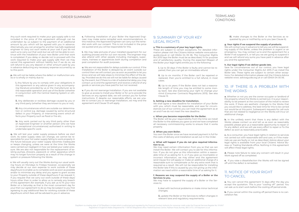#### CONDTIONS CONDTIONS TERMS AND

Any such work required to make your gas supply safe is not included in the price of this agreement although can be undertaken by us subject to the payment of an additional amount by you which will be agreed with you in advance. Alternatively, you can arrange for another Gas Safe registered engineer to carry out such works at your cost if you do not want us to carry out that work but we will not be able to continue with the installation of your new Boiler until that work is completed. If you delay or decide not to proceed with the work required to make your gas supply safe then we may cancel this agreement without liability but if we do so, we will refund to you any deposit or other amount paid by you in advance deducting any necessary expense occurred by us to this point.

**p.** We will not be liable where the defect or malfunction arises or is wholly or mainly due to:

**i.** Any failure by you to comply with your obligations in this agreement or any advice given in any accompanying literature provided by us or the manufacturer as to the reasonable operation and use of the Boiler (whether in conjunction with the Central Heating System or otherwise);

**ii.** Any deliberate or reckless damage caused by you or any third party (whether they are known to you or not);

**iii.** Any circumstances which are outside our determination or control e.g. damage caused by some structural defect in your Property, or intervening event which effects your Property such as flood or fire etc;

iv. Any work carried out by any third party other than an Approved Engineer or another person who we have (in exceptional circumstances) authorised in writing to undertake specific work.

**q.** We will test your water supply pressure before we start work. As water supply rates can change, we cannot be responsible for your hot water supply failing to work properly in the future because your water supply becomes inadequate or keeps changing, unless we were at the time the Works were carried out negligent in how we tested your water pressure. We are also not responsible for the replacement of existing pumps, showers, pipework or other apparatus which may no longer function properly as a result of the change in system or pressure following the Works.

**r.** We will usually carry out the Works during our usual working hours on Mondays to Fridays however, occasionally we may decide at our own expense to work outside of these days/hours to enable us to complete work as soon as possible and/or to minimise any delay and you agree to grant access to your Property outside of these days/hours if we request it. If you request that we carry out work outside of these days/ hours other than in order to allow us to remedy any breach of this agreement (for example, if you ask us to fit your new Boiler on a Saturday as that is the most convenient day for you) then our agreement to do so may be subject to you first agreeing to pay additional fees for working outside of these days/hours which fees will be advised to you in advance.

**s.** Following Installation of your Boiler the Approved Engineer may make some remedial work recommendations. In this instance, the Approved Engineer can carry out the remedial work with our consent. This is not included in the price we quoted and you will be responsible for this.

**t.** We may take pictures of your installed equipment for our auditing process and for our own records. The engineer may also attend with other people including managers, supervisors, trainees or apprentices both during completion and post completion for audit purposes.

**u.** We are not responsible for delays outside our control. If the Installation of the Boiler is delayed by an event outside our control then we will contact you as soon as possible to let you know and we will take steps to minimise the effect of the delay. Provided we do this we will not be liable for delays caused by the event, but if there is a risk of substantial delay you may contact us to end the agreement and receive a refund of any goods or services you have paid for but not received.

**v.** If you do not rearrange Installation. If you are not available to give us access to Install your Boiler or for us to provide the Services on any agreed date, we will contact you for further instructions. If, despite our reasonable efforts, we are unable to contact you or rearrange Installation, we may end the agreement and Clause 13 will apply.

#### 9. SUMMARY OF YOUR KEY LEGAL RIGHTS

#### **a. This is a summary of your key legal rights.**

These are subject to certain exceptions. For detailed information please visit the Citizens Advice website www.adviceguide.org.uk or call 03454 04 05 06. The Consumer Rights Act 2015 says the Boiler must be as described, fit for purpose and of satisfactory quality. During the expected lifespan of the Boiler your legal rights entitle you to the following:

**i.** Up to 30 days: if the Boiler is faulty and cannot be repaired, then you can get an immediate refund.

**ii.** Up to six months: if the Boiler can't be repaired or replaced, then you're entitled to a full refund, in most cases.

**iii.** Up to six years: if the Boiler does not last a reasonable length of time you may be entitled to some money back. See also Exercising your right to change your mind (Consumer Contracts Regulations 2013). See also Clause 12.

#### **b. Setting a new deadline for Installation.**

We shall agree a new deadline for installation of your Boiler with you, which must be reasonable, and save for circumstances out of our control, you can treat the agreement as at an end if we do not meet the new deadline.

#### **c. When you become responsible for the Boiler.**

The Boiler will be your responsibility from the time we install the Boiler to the address you gave us and we have completed all necessary commissioning works to ensure that it works properly.

#### **d. When you own Boiler.**

You own the Boiler once we have received payment in full for the costs of delivery and installation as set out in the Order.

#### **e. What will happen if you do not give required information to us.**

We may need certain information from you so that we can install the Boiler. We will contact you to ask for this information. If you do not give us this information within a reasonable time of us asking for it, or if you give us incomplete or incorrect information, we may either end the agreement (and Clause 10.2 will apply) or make an additional charge of a reasonable sum to compensate us for any extra work that is required as a result. We will not be responsible for installing the Boiler late if this is caused by you not giving us the information we need within a reasonable time of us asking for it.

#### **f. Reasons we may suspend the supply of a Boiler or the Services to you.**

We may have to suspend the supply of a Boiler or the Services to:

**i.** deal with technical problems or make minor technical changes;

**ii.** update the Boiler or the Services to reflect changes in relevant laws and regulatory requirements;

**iii.** make changes to the Boiler or the Services as requested by you or notified by us to you (see Clause 6).

#### **g. Your rights if we suspend the supply of products.**

We will contact you in advance to tell you we will be suspending supply of the Boiler, unless the problem is urgent or an emergency. You may contact us to end the agreement for a Boiler if we suspend it, or tell you we are going to suspend it and we will refund any sums you have paid in advance after you end the agreement.

#### **h. Our legal rights if we deliver goods late.**

Save for circumstances out of our control, you have legal rights under the Consumer Rights Act 2015 if we install the Boiler late. These rights are subject to certain other exceptions. For detailed information please visit the Citizens Advice website www. adviceguide.org.uk or call 03454 04 05 06.

# 10. IF THERE IS A PROBLEM WITH THE WORKS

**a.** Whether or not you are the owner-occupier or landlord of the property where the Works is carried out, it is your responsibility to be present at the conclusion of the install to review the work. If there are aesthetic changes to the Works that you would like to address, the best time for this to be carried out would be at this point. Subsequent requests for call-outs that are not related to negligence on the Works will incur an additional charge.

**b.** In the unlikely event that there is any defect with the Works: please contact us and tell us as soon as reasonably possible; please give us a reasonable opportunity to repair or fix any defect; and we will use every effort to repair or fix the defect as soon as reasonably practicable.

**c.** As a consumer, you have legal rights in relation to services not carried out with reasonable skill and care, or if the materials we use are faulty or not as described. Advice about your legal rights is available from your local Citizens' Advice Bureau or Trading Standards office. Nothing in this agreement will affect these legal rights.

**d.** Please note failure to raise any concern will result in your Work signed off as completed.

**e.** If you raise a dissatisfaction the Works will not be signed off until the defect is remedied.

#### 11. NOTICE OF YOUR RIGHT TO CANCEL

**a.** You can cancel this agreement 14 days after the day you accept the quotation. This is your "cooling off'' period. You can ask us to start work before the cooling off period ends.

**b.** If you cancel within the cooling off period there is no cancellation fee.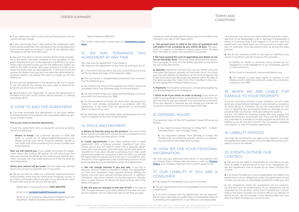#### CONDTIONS CONDTIONS TERMS AND

**c.** If you waive your right to the cooling off period you cannot cancel without charge.

**d.** If you cancel less than 7 days before the installation date there will be a £250 fee. Any cancellation fee will be deducted from monies held on account in terms of any deposit paid. The balance will be returned to you.

**e.** You won't be able to cancel once the Work is fully completed or the Boiler has been installed in your property. In the event that the amount of the deposit is insufficient to cover these costs we shall invoice you for the difference; and/or we reserve the right to enter upon your property in order to remove the Boiler that we have delivered. In the event that we recover the Boiler from you and the value has diminished for whatever reason, we reserve the right to charge you for the difference.

**f.** If we end the agreement in the situations set out in Clause 13, we will refund any money you have paid in advance for products we have not provided.

**g.** Advice about your legal right to cancel the agreement is available from your local Citizens' Advice Bureau or Trading Standards office.

# 12. HOW TO END THE AGREEMENT

**a.** You may terminate this agreement: at any time before commencement of the Works with immediate effect by giving us written notice;

#### **Tell us you want to end the agreement.**

To end the agreement with us, please let us know by doing one of the following:

**Phone or email.** Call customer services on 0333 358 0075 or email us at enquiries@247staywarm.co.uk. Please provide your name, Property address, details of the Order and, where available, your phone number and email address.

**How we will refund you.** If you validly terminate the agreement within the cooling off period, we will refund you the price you paid for the Boiler, by the method you used for payment. However, we may make deductions from the price, as described below.

**When your refund will be made.** We will make any refunds due to you as soon as possible and in any event.

**b.** We do our best to meet our customers' expectations but unfortunately, there may be times when things go wrong. If you have a complaint about any part of our service, we want to hear from you so we can put things right.

- Please get in touch with us on: **0333 358 0075**
- Email us at **complaint[s@](mailto:support%40247homerescue.co.uk?subject=)247staywarm.co.uk**
- Write to us at Customer Resolutions Department, 247 StayWarm, Parkhill Business Centre, Padiham

Road, Padiham, BB12 6TG

For further information, please see our **[Complaints proce](https://247staywarm.co.uk/complaints-procedure/
)[dure.](https://247staywarm.co.uk/complaints-procedure/
)**

# 13. WE MAY TERMINATE THIS AGREEMENT AT ANY TIME

We may end the agreement if you break it. We may end the agreement at any time by writing to you if:

**a.** In the event that you fail to pay any outstanding sums due within five Business Days of the payment date;

**b.** The Contractor is unreasonably prevented from conducting the Works by you;

**c.** You breach any terms of this agreement which cannot be remedied within five Business Days of the said breach;

**d.** You are unable to pay your debts as they fall due in accordance with the Insolvency Act 1986;

**e.** For the avoidance of doubt, we shall retain any payments made for work already completed in accordance with this agreement in the event that the agreement is terminated due to no fault of our own;

**f.** You shall pay us fair and reasonable compensation for any work in progress at the time of termination.

#### 14. PRICE AND PAYMENT

**a. Where to find the price for the product.** The price of the Boiler (which includes VAT) will be the price indicated on the order pages when you placed your Order.

**b. Credit Agreements:** If you have entered into a credit agreement with a finance provider StayWarm has introduced you to, you will need to enter into a separate agreement with that provider (and the funds will be paid direct to StayWarm). If you later decide to withdraw from that credit agreement under the Consumer Credit Act 1974, you will still be responsible for paying (and must pay in accordance with the terms of this agreement) the outstanding balance of the price payable by you to StayWarm under this agreement.

**c. We can charge interest if you pay late.** If you fail to pay any amount owed to StayWarm under this agreement on time then StayWarm may suspend without liability the Works until you have paid all overdue amounts. In addition, StayWarm may claim interest on any late payment calculated on a daily basis at 4% above the base lending rate of the Bank of England.

**d. We will pass on changes in the rate of VAT.** If the rate of VAT changes between your order date and the date we supply the product, we will adjust the rate of VAT that you pay,

unless you have already paid for the product in full before the change in the rate of VAT takes effect.

**e. The quoted price is valid at the time of quotation and will expire if not accepted by you within 28 days.** The quotation is subject to installation taking place within 90 days from the date on which the quotation is accepted.

**f. We have quoted the cost of upgrading your Boiler as set out on the order form.** Once you have accepted this quotation, we agree to carry out the Boiler upgrade on the terms set out in this document.

**g. Deposit:** StayWarm will not carry out any Works until you have paid the deposit detailed on the Order Form. You must pay any such deposit to StayWarm at the time of signing the Order Form and if you fail to pay any deposit within 30 days of the date you sign the Order Form then StayWarm may cancel this agreement without liability to you.

**h. Payment:** The balance of the price will become payable by you immediately prior to Installation.

**i. What to do if you think an order is wrong.** If you think an order is wrong please contact us promptly to let us know. You will not have to pay any interest until the dispute is resolved. Once the dispute is resolved we will charge you interest on correctly invoiced sums from the original due date.

#### 15. OPENING HOURS

The opening hours of the 247 StayWarm Head Office are as follows:

**i.** Day Opening Hours Monday to Friday 9am – 6.30pm Saturday 10am – 4pm Sunday Closed

**ii.** Our engineers operate from Monday to Friday. We therefore do not presently provide call-out or engineering services on Saturdays and Sundays.

### 16. HOW WE USE YOUR PERSONAL INFORMATION

We only use your personal information in accordance with our Privacy Policy. Please take the time to read our **[Privacy](https://247staywarm.co.uk/privacy-policy) [Policy](https://247staywarm.co.uk/privacy-policy)**, as it includes important terms which apply to you.

## 17. OUR LIABILITY IF YOU ARE A **CONSUMER**

**a.** This clause 17 only applies if you are a consumer.

**b.** We are responsible to you for foreseeable loss and damage caused by us.

**c.** If we fail to comply with this agreement, we are responsible for loss or damage you suffer that is a foreseeable result of us breaking this agreement or our failing to use reasonable

care and skill, but we are not responsible for any loss or damage that is not foreseeable. Loss or damage is foreseeable if either it is obvious that it will happen or if, at the time the agreement was made, both we and you knew it might happen, for example, if you discussed it with us during the sales process.

**d.** We do not exclude or limit in any way our liability to you where it would be unlawful to do so. This includes:

- **i.** Liability for death or personal injury caused by our negligence or the negligence of our employees, agents or subcontractors;
- **ii.** For fraud or fraudulent misrepresentation; and

**iii.** For breach of your legal rights in relation to the Works; and for defective products under the Consumer Protection Act 1987.

# 18. WHEN WE ARE LIABLE FOR DAMAGE TO YOUR PROPERTY

If we are providing services in your property, we will make good any unauthorised damage to your property caused by us while doing so. However, we are not responsible for the cost of repairing any pre-existing faults or damage to your property that we discover while providing the services. We are not liable for business losses. We only supply the Works for domestic and private use. If you use the Works for any commercial, business or re-sale purpose we will have no liability to you for any loss of profit, loss of business, business interruption, or loss of business opportunity

#### 19. LIABILITY PERIODS

You may not commence any legal action against us under this agreement after six years from the date of practical completion of all of the Works.

### 20. EVENTS OUTSIDE OUR **CONTROL**

**a.** We will not be liable or responsible for any failure to perform, or delay in performance of, any of our obligations under the agreement that is caused by an Event Outside Our Control.

**b.** If an Event Outside Our Control takes place that affects the performance of our obligations under the agreement we will contact you as soon as reasonably possible to notify you; and

**c.** Our obligations under the agreement will be suspended and the time for performance of our obligations will be extended for the duration of the Event Outside Our Control. Where the Event Outside Our Control affects our delivery of Works to you, we will arrange a new delivery date with you after the Event Outside Our Control is over.

StayWarm is a trading style of 247StayWarm Limited which is authorised and regulated by the Financial Conduct Authority for consumer credit under the Financial Services Register No: 916367 Registered in England & Wales (Registered No 11387607)Registered office: Parkhill Business Centre, Padiham Road, Burnley, BB12 6TG | 247staywarm.co.uk